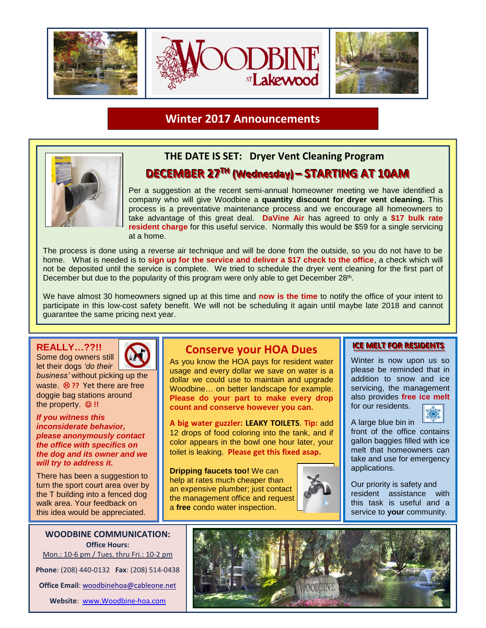

**Winter 2017 Announcements**



## **THE DATE IS SET: Dryer Vent Cleaning Program**   $\bf{DECEMBER}$  27<sup>TH</sup> (Wednesday) – STARTING AT 10AM

Per a suggestion at the recent semi-annual homeowner meeting we have identified a company who will give Woodbine a **quantity discount for dryer vent cleaning.** This process is a preventative maintenance process and we encourage all homeowners to take advantage of this great deal. **DaVine Air** has agreed to only a **\$17 bulk rate resident charge** for this useful service. Normally this would be \$59 for a single servicing at a home.

The process is done using a reverse air technique and will be done from the outside, so you do not have to be home. What is needed is to **sign up for the service and deliver a \$17 check to the office**, a check which will not be deposited until the service is complete. We tried to schedule the dryer vent cleaning for the first part of December but due to the popularity of this program were only able to get December 28<sup>th</sup>.

We have almost 30 homeowners signed up at this time and **now is the time** to notify the office of your intent to participate in this low-cost safety benefit. We will not be scheduling it again until maybe late 2018 and cannot guarantee the same pricing next year.

**REALLY…??!!**

Some dog owners still let their dogs *'do their business'* without picking up the waste. <sup><sup>8</sup> ?? Yet there are free</sup>

doggie bag stations around the property. ☺ **!!**

*If you witness this inconsiderate behavior, please anonymously contact the office with specifics on the dog and its owner and we will try to address it.*

There has been a suggestion to turn the sport court area over by the T building into a fenced dog walk area. Your feedback on this idea would be appreciated.

**WOODBINE COMMUNICATION: Office Hours:** Mon.: 10-6 pm / Tues. thru Fri.: 10-2 pm **Phone**: (208) 440-0132 **Fax**: (208) 514-0438 **Office Email**: [woodbinehoa@cableone.net](mailto:woodbinehoa@cableone.net) **Website**: [www.Woodbine-hoa.com](http://www.woodbine-hoa.com/)

## **Conserve your HOA Dues**

As you know the HOA pays for resident water usage and every dollar we save on water is a dollar we could use to maintain and upgrade Woodbine… on better landscape for example. **Please do your part to make every drop count and conserve however you can.**

**A big water guzzler: LEAKY TOILETS**. **Tip:** add 12 drops of food coloring into the tank, and if color appears in the bowl one hour later, your toilet is leaking. **Please get this fixed asap.**

**Dripping faucets too!** We can help at rates much cheaper than an expensive plumber; just contact the management office and request a **free** condo water inspection.



**ICE MELT FOR RESIDENTS** 

Winter is now upon us so please be reminded that in addition to snow and ice servicing, the management also provides **free ice melt** for our residents.



A large blue bin in front of the office contains gallon baggies filled with ice melt that homeowners can take and use for emergency applications.

Our priority is safety and resident assistance with this task is useful and a service to **your** community.